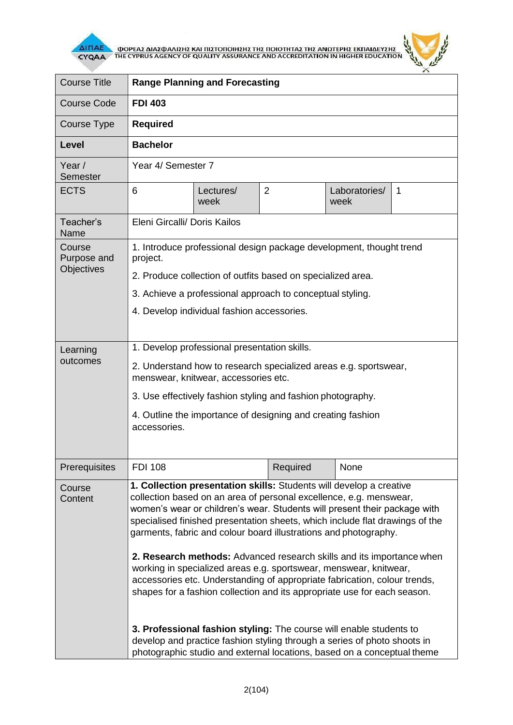

 $\overline{\Delta}$  (ΠΑΕ<br>CYQAA THE CYPRUS AGENCY OF QUALITY ASSURANCE AND ACCREDITATION IN HIGHER EDUCATION



| <b>Course Title</b>                 | <b>Range Planning and Forecasting</b>                                                                                                                                                                                                                                                                                                                                                                                                                                                                                                                                                                                                                                                                                                                                                                                                |                   |                |                       |              |  |
|-------------------------------------|--------------------------------------------------------------------------------------------------------------------------------------------------------------------------------------------------------------------------------------------------------------------------------------------------------------------------------------------------------------------------------------------------------------------------------------------------------------------------------------------------------------------------------------------------------------------------------------------------------------------------------------------------------------------------------------------------------------------------------------------------------------------------------------------------------------------------------------|-------------------|----------------|-----------------------|--------------|--|
| <b>Course Code</b>                  | <b>FDI 403</b>                                                                                                                                                                                                                                                                                                                                                                                                                                                                                                                                                                                                                                                                                                                                                                                                                       |                   |                |                       |              |  |
| Course Type                         | <b>Required</b>                                                                                                                                                                                                                                                                                                                                                                                                                                                                                                                                                                                                                                                                                                                                                                                                                      |                   |                |                       |              |  |
| <b>Level</b>                        | <b>Bachelor</b>                                                                                                                                                                                                                                                                                                                                                                                                                                                                                                                                                                                                                                                                                                                                                                                                                      |                   |                |                       |              |  |
| Year /<br>Semester                  | Year 4/ Semester 7                                                                                                                                                                                                                                                                                                                                                                                                                                                                                                                                                                                                                                                                                                                                                                                                                   |                   |                |                       |              |  |
| <b>ECTS</b>                         | 6                                                                                                                                                                                                                                                                                                                                                                                                                                                                                                                                                                                                                                                                                                                                                                                                                                    | Lectures/<br>week | $\overline{2}$ | Laboratories/<br>week | $\mathbf{1}$ |  |
| Teacher's<br>Name                   | Eleni Gircalli/ Doris Kailos                                                                                                                                                                                                                                                                                                                                                                                                                                                                                                                                                                                                                                                                                                                                                                                                         |                   |                |                       |              |  |
| Course<br>Purpose and<br>Objectives | 1. Introduce professional design package development, thought trend<br>project.                                                                                                                                                                                                                                                                                                                                                                                                                                                                                                                                                                                                                                                                                                                                                      |                   |                |                       |              |  |
|                                     | 2. Produce collection of outfits based on specialized area.                                                                                                                                                                                                                                                                                                                                                                                                                                                                                                                                                                                                                                                                                                                                                                          |                   |                |                       |              |  |
|                                     | 3. Achieve a professional approach to conceptual styling.                                                                                                                                                                                                                                                                                                                                                                                                                                                                                                                                                                                                                                                                                                                                                                            |                   |                |                       |              |  |
|                                     | 4. Develop individual fashion accessories.                                                                                                                                                                                                                                                                                                                                                                                                                                                                                                                                                                                                                                                                                                                                                                                           |                   |                |                       |              |  |
| Learning<br>outcomes                | 1. Develop professional presentation skills.                                                                                                                                                                                                                                                                                                                                                                                                                                                                                                                                                                                                                                                                                                                                                                                         |                   |                |                       |              |  |
|                                     | 2. Understand how to research specialized areas e.g. sportswear,<br>menswear, knitwear, accessories etc.                                                                                                                                                                                                                                                                                                                                                                                                                                                                                                                                                                                                                                                                                                                             |                   |                |                       |              |  |
|                                     | 3. Use effectively fashion styling and fashion photography.                                                                                                                                                                                                                                                                                                                                                                                                                                                                                                                                                                                                                                                                                                                                                                          |                   |                |                       |              |  |
|                                     | 4. Outline the importance of designing and creating fashion<br>accessories.                                                                                                                                                                                                                                                                                                                                                                                                                                                                                                                                                                                                                                                                                                                                                          |                   |                |                       |              |  |
| Prerequisites                       | <b>FDI 108</b>                                                                                                                                                                                                                                                                                                                                                                                                                                                                                                                                                                                                                                                                                                                                                                                                                       |                   | Required       | None                  |              |  |
| Course<br>Content                   | 1. Collection presentation skills: Students will develop a creative<br>collection based on an area of personal excellence, e.g. menswear,<br>women's wear or children's wear. Students will present their package with<br>specialised finished presentation sheets, which include flat drawings of the<br>garments, fabric and colour board illustrations and photography.<br>2. Research methods: Advanced research skills and its importance when<br>working in specialized areas e.g. sportswear, menswear, knitwear,<br>accessories etc. Understanding of appropriate fabrication, colour trends,<br>shapes for a fashion collection and its appropriate use for each season.<br>3. Professional fashion styling: The course will enable students to<br>develop and practice fashion styling through a series of photo shoots in |                   |                |                       |              |  |
|                                     | photographic studio and external locations, based on a conceptual theme                                                                                                                                                                                                                                                                                                                                                                                                                                                                                                                                                                                                                                                                                                                                                              |                   |                |                       |              |  |